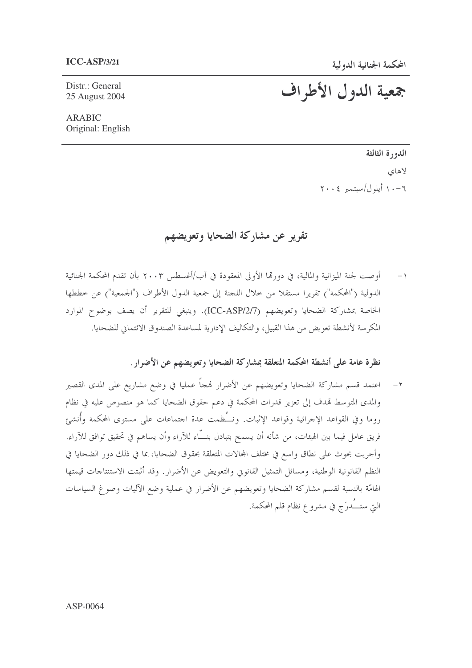Distr.: General 25 August 2004 جمعية الدول الأطراف

ARABIC Original: English

> الدورة الثالثة لاهاي ٦-١٠ أيلول/سبتمبر ٢٠٠٤

## تقرير عن مشاركة الضحايا وتعويضهم

١– أوصت لجنة الميزانية والمالية، في دورتما الأولى المعقودة في آب/أغسطس ٢٠٠٣ بأن تقدم المحكمة الجنائية الدولية ("المحكمة") تقريرا مستقلاً من خلال اللجنة إلى جمعية الدول الأطراف ("الجمعية") عن خططها الخاصة بمشاركة الضحايا وتعويضهم (ICC-ASP/2/7). وينبغي للتقرير أن يصف بوضوح الموارد المكرسة لأنشطة تعويض من هذا القبيل، والتكاليف الإدارية لمساعدة الصندوق الائتماني للضحايا.

نظرة عامة على أنشطة المحكمة المتعلقة بمشاركة الضحايا وتعويضهم عن الأضرار .

٢– اعتمد قسم مشاركة الضحايا وتعويضهم عن الأضرار فمجاً عمليا في وضع مشاريع على المدى القصير والمدى المتوسط قمدف إلى تعزيز قدرات المحكمة في دعم حقوق الضحايا كما هو منصوص عليه في نظام روما وفي القواعد الإجرائية وقواعد الإثبات. ونــُظمت عدة اجتماعات على مستوى المحكمة وأنشئ فريق عامل فيما بين الهيئات، من شأنه أن يسمح بتبادل بنـــَاء للآراء وأن يساهم في تحقيق توافق للآراء. وأجريت بحوث على نطاق واسع في مختلف المحالات المتعلقة بحقوق الضحايا، بما في ذلك دور الضحايا في النظم القانونية الوطنية، ومسائل التمثيل القانوني والتعويض عن الأضرار. وقد أثبتت الاستنتاحات قيمتها الهامّة بالنسبة لقسم مشاركة الضحايا وتعويضهم عن الأضرار في عملية وضع الآليات وصوغ السياسات التي ستــَــُدرَج في مشروع نظام قلم المحكمة.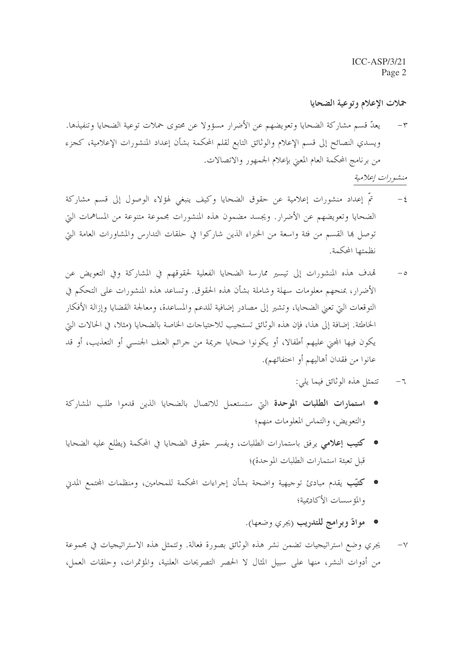حملات الإعلام وتوعية الضحايا

يعدُّ قسم مشاركة الضحايا وتعويضهم عن الأضرار مسؤولا عن محتوى حملات توعية الضحايا وتنفيذها.  $-\tau$ ويسدي النصائح إلى قسم الإعلام والوثائق التابع لقلم المحكمة بشأن إعداد المنشورات الإعلامية، كجزء من برنامج المحكمة العام المعنى بإعلام الجمهور والاتصالات.

## منشورات إعلامية

- $-\xi$ تمَّ إعداد منشورات إعلامية عن حقوق الضحايا وكيف ينبغي لهؤلاء الوصول إلى قسم مشاركة الضحايا وتعويضهم عن الأضرار . ويجسد مضمون هذه المنشورات مجموعة متنوعة من المساهمات التي توصل ها القسم من فئة واسعة من الخبراء الذين شاركوا في حلقات التدارس والمشاورات العامة التي نظمتها المحكمة.
- تمدف هذه المنشورات إلى تيسير ممارسة الضحايا الفعلية لحقوقهم في المشاركة وفي التعويض عن  $-\circ$ الأضرار ، بمنحهم معلومات سهلة وشاملة بشأن هذه الحقوق. وتساعد هذه المنشورات على التحكم في التوقعات اليت تعبي الضحايا، وتشير إلى مصادر إضافية للدعم والمساعدة، ومعالجة القضايا وإزالة الأفكار الخاطئة. إضافة إلى هذا، فإن هذه الوثائق تستجيب للاحتياجات الخاصة بالضحايا (مثلاً، في الحالات التي يكون فيها المجنى عليهم أطفالا، أو يكونوا ضحايا جريمة من جرائم العنف الجنسبي أو التعذيب، أو قد عانوا من فقدان أهاليهم أو اختفائهم).
	- تتمثل هذه الوثائق فيما يلي:  $-7$
- استمارات الطلبات الموحدة التي ستستعمل للاتصال بالضحايا الذين قدموا طلب المشاركة والتعويض، والتماس المعلومات منهم؛
- كتيب إعلامي يرفق باستمارات الطلبات، ويفسر حقوق الضحايا في المحكمة (يطلع عليه الضحايا قبل تعبئة استمارات الطلبات الموحدة)؛
- كتيّب يقدم مبادئ توجيهية واضحة بشأن إجراءات المحكمة للمحامين، ومنظمات المحتمع المدني والمؤسسات الأكاديمية؛
	- موادّ وبرامج للتدريب <sub>(</sub>يجري وضعها).
- يجري وضع استراتيجيات تضمن نشر هذه الوثائق بصورة فعالة. وتتمثل هذه الاستراتيجيات في مجموعة  $-\vee$ من أدوات النشر، منها على سبيل المثال لا الحصر التصريحات العلنية، والمؤتمرات، وحلقات العمل،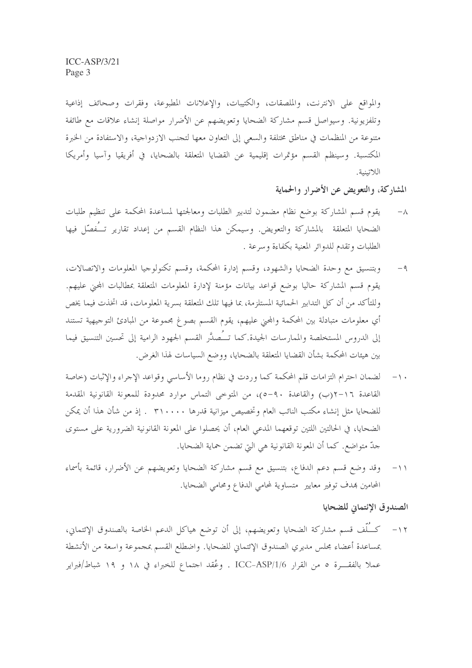والمواقع على الانترنت، والملصقات، والكتيبات، والإعلانات المطبوعة، وفقرات وصحائف إذاعية وتلفزيونية. وسيواصل قسم مشاركة الضحايا وتعويضهم عن الأضرار مواصلة إنشاء علاقات مع طائفة متنوعة من المنظمات في مناطق مختلفة والسعى إلى التعاون معها لتجنب الازدواجية، والاستفادة من الخبرة المكتسبة. وسينظم القسم مؤتمرات إقليمية عن القضايا المتعلقة بالضحايا، في أفريقيا وآسيا وأمريكا اللاتينية.

## المشاركة، والتعويض عن الأضرار والحماية

- يقوم قسم المشاركة بوضع نظام مضمون لتدبير الطلبات ومعالجتها لمساعدة المحكمة على تنظيم طلبات  $-\wedge$ الضحايا المتعلقة بالمشاركة والتعويض. وسيمكن هذا النظام القسم من إعداد تقارير تــُفصّل فيها الطلبات وتقدم للدوائر المعنية بكفاءة وسرعة .
- وبتنسيق مع وحدة الضحايا والشهود، وقسم إدارة المحكمة، وقسم تكنولوجيا المعلومات والاتصالات،  $-9$ يقوم قسم المشاركة حاليا بوضع قواعد بيانات مؤمنة لإدارة المعلومات المتعلقة بمطالبات المحنى عليهم. وللتأكد من أن كل التدابير الحمائية المستلزمة، بما فيها تلك المتعلقة بسرية المعلومات، قد اتخذت فيما يخص أي معلومات متبادلة بين المحكمة والمحنى عليهم، يقوم القسم بصوغ مجموعة من المبادئ التوجيهية تستند إلى الدروس المستخلصة والممارسات الجيدة.كما تــُـصدَّر القسم الجهود الرامية إلى تحسين التنسيق فيما بين هيئات المحكمة بشأن القضايا المتعلقة بالضحايا، ووضع السياسات لهذا الغرض.
- لضمان احترام التزامات قلم المحكمة كما وردت في نظام روما الأساسي وقواعد الإجراء والإثبات (حاصة  $-1$ القاعدة ١٦–٢(ب) والقاعدة ٩٠–٥)، من المتوحى التماس موارد محدودة للمعونة القانونية المقدمة للضحايا مثل إنشاء مكتب النائب العام وتخصيص ميزانية قدرها ٣١٠٠٠٠ . إذ من شأن هذا أن يمكن الضحايا، في الحالتين اللتين توقعهما المدعى العام، أن يحصلوا على المعونة القانونية الضرورية على مستوى حدِّ متواضع. كما أن المعونة القانونية هي التي تضمن حماية الضحايا.
- وقد وضع قسم دعم الدفاع، بتنسيق مع قسم مشاركة الضحايا وتعويضهم عن الأضرار، قائمة بأسماء  $-11$ المحامين بهدف توفير معايير متساوية لمحامى الدفاع ومحامى الضحايا.

## الصندوق الإئتماني للضحايا

١٢– كـُـلّف قسم مشاركة الضحايا وتعويضهم، إلى أن توضع هياكل الدعم الخاصة بالصندوق الإئتماني، بمساعدة أعضاء مجلس مديري الصندوق الإئتماني للضحايا. واضطلع القسم بمحموعة واسعة من الأنشطة عملا بالفقـــرة ٥ من القرار ICC-ASP/1/6 . وعُقد احتماع للخبراء في ١٨ و ١٩ شباط/فبراير